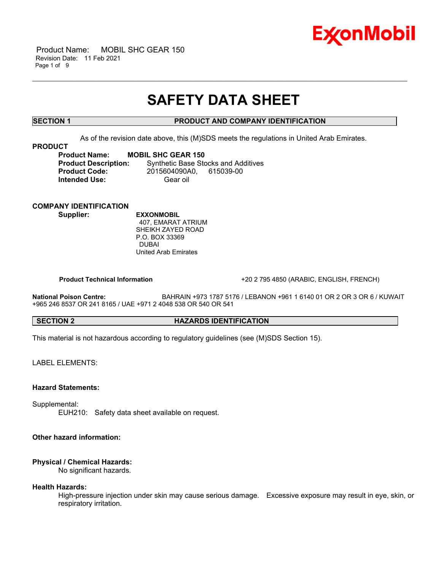

 Product Name: MOBIL SHC GEAR 150 Revision Date: 11 Feb 2021 Page 1 of 9

## **SAFETY DATA SHEET**

\_\_\_\_\_\_\_\_\_\_\_\_\_\_\_\_\_\_\_\_\_\_\_\_\_\_\_\_\_\_\_\_\_\_\_\_\_\_\_\_\_\_\_\_\_\_\_\_\_\_\_\_\_\_\_\_\_\_\_\_\_\_\_\_\_\_\_\_\_\_\_\_\_\_\_\_\_\_\_\_\_\_\_\_\_\_\_\_\_\_\_\_\_\_\_\_\_\_\_\_\_\_\_\_\_\_\_\_\_\_\_\_\_\_\_\_\_

## **SECTION 1 PRODUCT AND COMPANY IDENTIFICATION**

As of the revision date above, this (M)SDS meets the regulations in United Arab Emirates.

#### **PRODUCT**

**Product Name: MOBIL SHC GEAR 150<br>Product Description:** Synthetic Base Std **Synthetic Base Stocks and Additives Product Code:** 2015604090A0, 615039-00 **Intended Use:** Gear oil

## **COMPANY IDENTIFICATION**

**Supplier: EXXONMOBIL** 407, EMARAT ATRIUM SHEIKH ZAYED ROAD P.O. BOX 33369 DUBAI United Arab Emirates

 **Product Technical Information** +20 2 795 4850 (ARABIC, ENGLISH, FRENCH)

**National Poison Centre:** BAHRAIN +973 1787 5176 / LEBANON +961 1 6140 01 OR 2 OR 3 OR 6 / KUWAIT +965 246 8537 OR 241 8165 / UAE +971 2 4048 538 OR 540 OR 541

## **SECTION 2 HAZARDS IDENTIFICATION**

This material is not hazardous according to regulatory guidelines (see (M)SDS Section 15).

LABEL ELEMENTS:

#### **Hazard Statements:**

Supplemental:

EUH210: Safety data sheet available on request.

### **Other hazard information:**

#### **Physical / Chemical Hazards:**

No significant hazards.

#### **Health Hazards:**

High-pressure injection under skin may cause serious damage. Excessive exposure may result in eye, skin, or respiratory irritation.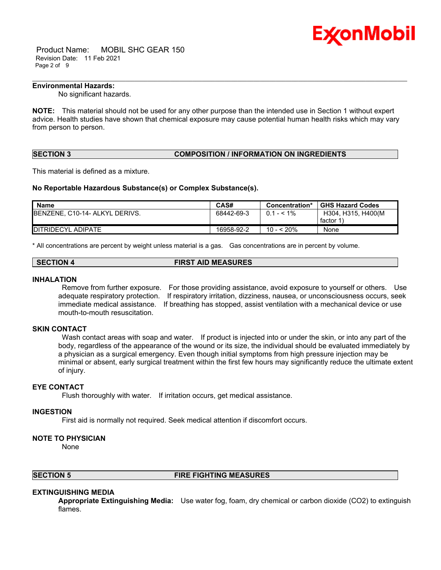

 Product Name: MOBIL SHC GEAR 150 Revision Date: 11 Feb 2021 Page 2 of 9

## **Environmental Hazards:**

No significant hazards.

**NOTE:** This material should not be used for any other purpose than the intended use in Section 1 without expert advice. Health studies have shown that chemical exposure may cause potential human health risks which may vary from person to person.

\_\_\_\_\_\_\_\_\_\_\_\_\_\_\_\_\_\_\_\_\_\_\_\_\_\_\_\_\_\_\_\_\_\_\_\_\_\_\_\_\_\_\_\_\_\_\_\_\_\_\_\_\_\_\_\_\_\_\_\_\_\_\_\_\_\_\_\_\_\_\_\_\_\_\_\_\_\_\_\_\_\_\_\_\_\_\_\_\_\_\_\_\_\_\_\_\_\_\_\_\_\_\_\_\_\_\_\_\_\_\_\_\_\_\_\_\_

#### **SECTION 3 COMPOSITION / INFORMATION ON INGREDIENTS**

This material is defined as a mixture.

#### **No Reportable Hazardous Substance(s) or Complex Substance(s).**

| Name                                   | CAS#       | Concentration* | <b>GHS Hazard Codes</b> |
|----------------------------------------|------------|----------------|-------------------------|
| <b>IBENZENE, C10-14- ALKYL DERIVS.</b> | 68442-69-3 | $0.1 - 1\%$    | H304, H315, H400(M      |
|                                        |            |                | factor 1                |
| <b>IDITRIDECYL ADIPATE</b>             | 16958-92-2 | 10 - < 20%     | None                    |

\* All concentrations are percent by weight unless material is a gas. Gas concentrations are in percent by volume.

#### **INHALATION**

 Remove from further exposure. For those providing assistance, avoid exposure to yourself or others. Use adequate respiratory protection. If respiratory irritation, dizziness, nausea, or unconsciousness occurs, seek immediate medical assistance. If breathing has stopped, assist ventilation with a mechanical device or use mouth-to-mouth resuscitation.

#### **SKIN CONTACT**

Wash contact areas with soap and water. If product is injected into or under the skin, or into any part of the body, regardless of the appearance of the wound or its size, the individual should be evaluated immediately by a physician as a surgical emergency. Even though initial symptoms from high pressure injection may be minimal or absent, early surgical treatment within the first few hours may significantly reduce the ultimate extent of injury.

#### **EYE CONTACT**

Flush thoroughly with water. If irritation occurs, get medical assistance.

#### **INGESTION**

First aid is normally not required. Seek medical attention if discomfort occurs.

#### **NOTE TO PHYSICIAN**

None

#### **SECTION 5 FIRE FIGHTING MEASURES**

#### **EXTINGUISHING MEDIA**

**Appropriate Extinguishing Media:** Use water fog, foam, dry chemical or carbon dioxide (CO2) to extinguish flames.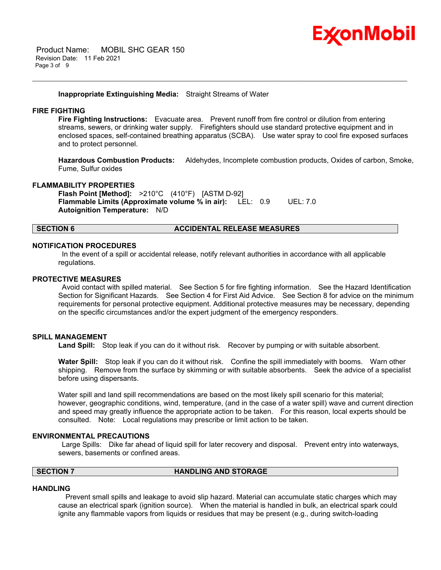

#### **Inappropriate Extinguishing Media:** Straight Streams of Water

#### **FIRE FIGHTING**

**Fire Fighting Instructions:** Evacuate area. Prevent runoff from fire control or dilution from entering streams, sewers, or drinking water supply. Firefighters should use standard protective equipment and in enclosed spaces, self-contained breathing apparatus (SCBA). Use water spray to cool fire exposed surfaces and to protect personnel.

\_\_\_\_\_\_\_\_\_\_\_\_\_\_\_\_\_\_\_\_\_\_\_\_\_\_\_\_\_\_\_\_\_\_\_\_\_\_\_\_\_\_\_\_\_\_\_\_\_\_\_\_\_\_\_\_\_\_\_\_\_\_\_\_\_\_\_\_\_\_\_\_\_\_\_\_\_\_\_\_\_\_\_\_\_\_\_\_\_\_\_\_\_\_\_\_\_\_\_\_\_\_\_\_\_\_\_\_\_\_\_\_\_\_\_\_\_

**Hazardous Combustion Products:** Aldehydes, Incomplete combustion products, Oxides of carbon, Smoke, Fume, Sulfur oxides

#### **FLAMMABILITY PROPERTIES**

**Flash Point [Method]:** >210°C (410°F) [ASTM D-92] **Flammable Limits (Approximate volume % in air):** LEL: 0.9 UEL: 7.0 **Autoignition Temperature:** N/D

#### **SECTION 6 ACCIDENTAL RELEASE MEASURES**

#### **NOTIFICATION PROCEDURES**

 In the event of a spill or accidental release, notify relevant authorities in accordance with all applicable regulations.

#### **PROTECTIVE MEASURES**

 Avoid contact with spilled material. See Section 5 for fire fighting information. See the Hazard Identification Section for Significant Hazards. See Section 4 for First Aid Advice. See Section 8 for advice on the minimum requirements for personal protective equipment. Additional protective measures may be necessary, depending on the specific circumstances and/or the expert judgment of the emergency responders.

#### **SPILL MANAGEMENT**

Land Spill: Stop leak if you can do it without risk. Recover by pumping or with suitable absorbent.

**Water Spill:** Stop leak if you can do it without risk. Confine the spill immediately with booms. Warn other shipping. Remove from the surface by skimming or with suitable absorbents. Seek the advice of a specialist before using dispersants.

Water spill and land spill recommendations are based on the most likely spill scenario for this material; however, geographic conditions, wind, temperature, (and in the case of a water spill) wave and current direction and speed may greatly influence the appropriate action to be taken. For this reason, local experts should be consulted. Note: Local regulations may prescribe or limit action to be taken.

#### **ENVIRONMENTAL PRECAUTIONS**

 Large Spills: Dike far ahead of liquid spill for later recovery and disposal. Prevent entry into waterways, sewers, basements or confined areas.

## **SECTION 7 HANDLING AND STORAGE**

#### **HANDLING**

 Prevent small spills and leakage to avoid slip hazard. Material can accumulate static charges which may cause an electrical spark (ignition source). When the material is handled in bulk, an electrical spark could ignite any flammable vapors from liquids or residues that may be present (e.g., during switch-loading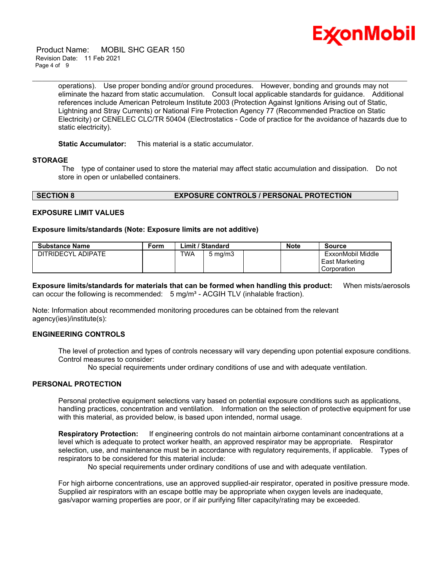

 Product Name: MOBIL SHC GEAR 150 Revision Date: 11 Feb 2021 Page 4 of 9

> operations). Use proper bonding and/or ground procedures. However, bonding and grounds may not eliminate the hazard from static accumulation. Consult local applicable standards for guidance. Additional references include American Petroleum Institute 2003 (Protection Against Ignitions Arising out of Static, Lightning and Stray Currents) or National Fire Protection Agency 77 (Recommended Practice on Static Electricity) or CENELEC CLC/TR 50404 (Electrostatics - Code of practice for the avoidance of hazards due to static electricity).

\_\_\_\_\_\_\_\_\_\_\_\_\_\_\_\_\_\_\_\_\_\_\_\_\_\_\_\_\_\_\_\_\_\_\_\_\_\_\_\_\_\_\_\_\_\_\_\_\_\_\_\_\_\_\_\_\_\_\_\_\_\_\_\_\_\_\_\_\_\_\_\_\_\_\_\_\_\_\_\_\_\_\_\_\_\_\_\_\_\_\_\_\_\_\_\_\_\_\_\_\_\_\_\_\_\_\_\_\_\_\_\_\_\_\_\_\_

#### **Static Accumulator:** This material is a static accumulator.

#### **STORAGE**

 The type of container used to store the material may affect static accumulation and dissipation. Do not store in open or unlabelled containers.

#### **SECTION 8 EXPOSURE CONTROLS / PERSONAL PROTECTION**

#### **EXPOSURE LIMIT VALUES**

#### **Exposure limits/standards (Note: Exposure limits are not additive)**

| <b>Substance Name</b> | Form |     | Limit / Standard   | <b>Note</b> | <b>Source</b>     |
|-----------------------|------|-----|--------------------|-------------|-------------------|
| DITRIDECYL ADIPATE    |      | TWA | $5 \text{ ma/m}$ 3 |             | ExxonMobil Middle |
|                       |      |     |                    |             | East Marketing    |
|                       |      |     |                    |             | Corporation       |

**Exposure limits/standards for materials that can be formed when handling this product:** When mists/aerosols can occur the following is recommended:  $5 \text{ mg/m}^3$  - ACGIH TLV (inhalable fraction).

Note: Information about recommended monitoring procedures can be obtained from the relevant agency(ies)/institute(s):

#### **ENGINEERING CONTROLS**

The level of protection and types of controls necessary will vary depending upon potential exposure conditions. Control measures to consider:

No special requirements under ordinary conditions of use and with adequate ventilation.

### **PERSONAL PROTECTION**

Personal protective equipment selections vary based on potential exposure conditions such as applications, handling practices, concentration and ventilation. Information on the selection of protective equipment for use with this material, as provided below, is based upon intended, normal usage.

**Respiratory Protection:** If engineering controls do not maintain airborne contaminant concentrations at a level which is adequate to protect worker health, an approved respirator may be appropriate. Respirator selection, use, and maintenance must be in accordance with regulatory requirements, if applicable. Types of respirators to be considered for this material include:

No special requirements under ordinary conditions of use and with adequate ventilation.

For high airborne concentrations, use an approved supplied-air respirator, operated in positive pressure mode. Supplied air respirators with an escape bottle may be appropriate when oxygen levels are inadequate, gas/vapor warning properties are poor, or if air purifying filter capacity/rating may be exceeded.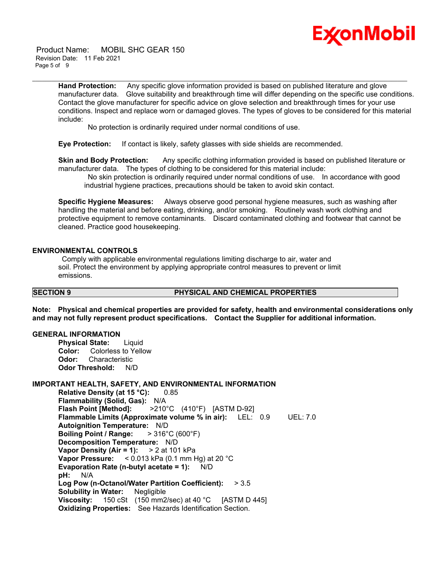# Ex⁄onMobil

 Product Name: MOBIL SHC GEAR 150 Revision Date: 11 Feb 2021 Page 5 of 9

> **Hand Protection:** Any specific glove information provided is based on published literature and glove manufacturer data. Glove suitability and breakthrough time will differ depending on the specific use conditions. Contact the glove manufacturer for specific advice on glove selection and breakthrough times for your use conditions. Inspect and replace worn or damaged gloves. The types of gloves to be considered for this material include:

\_\_\_\_\_\_\_\_\_\_\_\_\_\_\_\_\_\_\_\_\_\_\_\_\_\_\_\_\_\_\_\_\_\_\_\_\_\_\_\_\_\_\_\_\_\_\_\_\_\_\_\_\_\_\_\_\_\_\_\_\_\_\_\_\_\_\_\_\_\_\_\_\_\_\_\_\_\_\_\_\_\_\_\_\_\_\_\_\_\_\_\_\_\_\_\_\_\_\_\_\_\_\_\_\_\_\_\_\_\_\_\_\_\_\_\_\_

No protection is ordinarily required under normal conditions of use.

**Eye Protection:** If contact is likely, safety glasses with side shields are recommended.

**Skin and Body Protection:** Any specific clothing information provided is based on published literature or manufacturer data. The types of clothing to be considered for this material include:

 No skin protection is ordinarily required under normal conditions of use. In accordance with good industrial hygiene practices, precautions should be taken to avoid skin contact.

**Specific Hygiene Measures:** Always observe good personal hygiene measures, such as washing after handling the material and before eating, drinking, and/or smoking. Routinely wash work clothing and protective equipment to remove contaminants. Discard contaminated clothing and footwear that cannot be cleaned. Practice good housekeeping.

#### **ENVIRONMENTAL CONTROLS**

 Comply with applicable environmental regulations limiting discharge to air, water and soil. Protect the environment by applying appropriate control measures to prevent or limit emissions.

#### **SECTION 9 PHYSICAL AND CHEMICAL PROPERTIES**

**Note: Physical and chemical properties are provided for safety, health and environmental considerations only and may not fully represent product specifications. Contact the Supplier for additional information.**

#### **GENERAL INFORMATION**

**Physical State:** Liquid **Color:** Colorless to Yellow **Odor:** Characteristic **Odor Threshold:** N/D

#### **IMPORTANT HEALTH, SAFETY, AND ENVIRONMENTAL INFORMATION**

**Relative Density (at 15 °C):** 0.85 **Flammability (Solid, Gas):** N/A **Flash Point [Method]:** >210°C (410°F) [ASTM D-92] **Flammable Limits (Approximate volume % in air):** LEL: 0.9 UEL: 7.0 **Autoignition Temperature:** N/D **Boiling Point / Range:** > 316°C (600°F) **Decomposition Temperature:** N/D **Vapor Density (Air = 1):** > 2 at 101 kPa **Vapor Pressure:** < 0.013 kPa (0.1 mm Hg) at 20 °C **Evaporation Rate (n-butyl acetate = 1):** N/D **pH:** N/A **Log Pow (n-Octanol/Water Partition Coefficient):** > 3.5 **Solubility in Water:** Negligible **Viscosity:** 150 cSt (150 mm2/sec) at 40 °C [ASTM D 445] **Oxidizing Properties:** See Hazards Identification Section.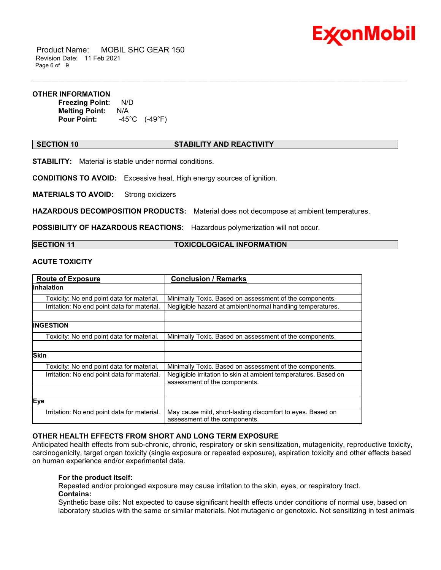

 Product Name: MOBIL SHC GEAR 150 Revision Date: 11 Feb 2021 Page 6 of 9

#### **OTHER INFORMATION**

**Freezing Point:** N/D **Melting Point: N/A<br>Pour Point: 45 Pour Point:** -45°C (-49°F)

### **SECTION 10 STABILITY AND REACTIVITY**

\_\_\_\_\_\_\_\_\_\_\_\_\_\_\_\_\_\_\_\_\_\_\_\_\_\_\_\_\_\_\_\_\_\_\_\_\_\_\_\_\_\_\_\_\_\_\_\_\_\_\_\_\_\_\_\_\_\_\_\_\_\_\_\_\_\_\_\_\_\_\_\_\_\_\_\_\_\_\_\_\_\_\_\_\_\_\_\_\_\_\_\_\_\_\_\_\_\_\_\_\_\_\_\_\_\_\_\_\_\_\_\_\_\_\_\_\_

**STABILITY:** Material is stable under normal conditions.

**CONDITIONS TO AVOID:** Excessive heat. High energy sources of ignition.

**MATERIALS TO AVOID:** Strong oxidizers

**HAZARDOUS DECOMPOSITION PRODUCTS:** Material does not decompose at ambient temperatures.

**POSSIBILITY OF HAZARDOUS REACTIONS:** Hazardous polymerization will not occur.

| <b>SECTION 11</b> |
|-------------------|
|-------------------|

**TOXICOLOGICAL INFORMATION** 

## **ACUTE TOXICITY**

| <b>Route of Exposure</b>                    | <b>Conclusion / Remarks</b>                                                                      |  |
|---------------------------------------------|--------------------------------------------------------------------------------------------------|--|
| <b>Inhalation</b>                           |                                                                                                  |  |
| Toxicity: No end point data for material.   | Minimally Toxic. Based on assessment of the components.                                          |  |
| Irritation: No end point data for material. | Negligible hazard at ambient/normal handling temperatures.                                       |  |
|                                             |                                                                                                  |  |
| INGESTION                                   |                                                                                                  |  |
| Toxicity: No end point data for material.   | Minimally Toxic. Based on assessment of the components.                                          |  |
|                                             |                                                                                                  |  |
| <b>Skin</b>                                 |                                                                                                  |  |
| Toxicity: No end point data for material.   | Minimally Toxic. Based on assessment of the components.                                          |  |
| Irritation: No end point data for material. | Negligible irritation to skin at ambient temperatures. Based on<br>assessment of the components. |  |
|                                             |                                                                                                  |  |
| Eye                                         |                                                                                                  |  |
| Irritation: No end point data for material. | May cause mild, short-lasting discomfort to eyes. Based on<br>assessment of the components.      |  |

## **OTHER HEALTH EFFECTS FROM SHORT AND LONG TERM EXPOSURE**

Anticipated health effects from sub-chronic, chronic, respiratory or skin sensitization, mutagenicity, reproductive toxicity, carcinogenicity, target organ toxicity (single exposure or repeated exposure), aspiration toxicity and other effects based on human experience and/or experimental data.

## **For the product itself:**

Repeated and/or prolonged exposure may cause irritation to the skin, eyes, or respiratory tract. **Contains:**

Synthetic base oils: Not expected to cause significant health effects under conditions of normal use, based on laboratory studies with the same or similar materials. Not mutagenic or genotoxic. Not sensitizing in test animals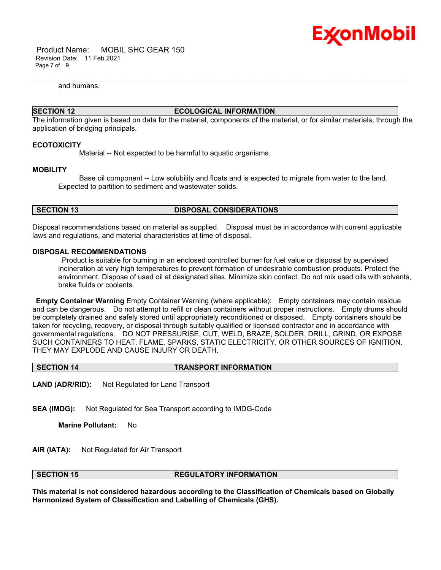

 Product Name: MOBIL SHC GEAR 150 Revision Date: 11 Feb 2021 Page 7 of 9

and humans.

## **SECTION 12 ECOLOGICAL INFORMATION**

\_\_\_\_\_\_\_\_\_\_\_\_\_\_\_\_\_\_\_\_\_\_\_\_\_\_\_\_\_\_\_\_\_\_\_\_\_\_\_\_\_\_\_\_\_\_\_\_\_\_\_\_\_\_\_\_\_\_\_\_\_\_\_\_\_\_\_\_\_\_\_\_\_\_\_\_\_\_\_\_\_\_\_\_\_\_\_\_\_\_\_\_\_\_\_\_\_\_\_\_\_\_\_\_\_\_\_\_\_\_\_\_\_\_\_\_\_

The information given is based on data for the material, components of the material, or for similar materials, through the application of bridging principals.

#### **ECOTOXICITY**

Material -- Not expected to be harmful to aquatic organisms.

#### **MOBILITY**

 Base oil component -- Low solubility and floats and is expected to migrate from water to the land. Expected to partition to sediment and wastewater solids.

#### **SECTION 13 DISPOSAL CONSIDERATIONS**

Disposal recommendations based on material as supplied. Disposal must be in accordance with current applicable laws and regulations, and material characteristics at time of disposal.

#### **DISPOSAL RECOMMENDATIONS**

 Product is suitable for burning in an enclosed controlled burner for fuel value or disposal by supervised incineration at very high temperatures to prevent formation of undesirable combustion products. Protect the environment. Dispose of used oil at designated sites. Minimize skin contact. Do not mix used oils with solvents, brake fluids or coolants.

**Empty Container Warning** Empty Container Warning (where applicable): Empty containers may contain residue and can be dangerous. Do not attempt to refill or clean containers without proper instructions. Empty drums should be completely drained and safely stored until appropriately reconditioned or disposed. Empty containers should be taken for recycling, recovery, or disposal through suitably qualified or licensed contractor and in accordance with governmental regulations. DO NOT PRESSURISE, CUT, WELD, BRAZE, SOLDER, DRILL, GRIND, OR EXPOSE SUCH CONTAINERS TO HEAT, FLAME, SPARKS, STATIC ELECTRICITY, OR OTHER SOURCES OF IGNITION. THEY MAY EXPLODE AND CAUSE INJURY OR DEATH.

### **SECTION 14 TRANSPORT INFORMATION**

**LAND (ADR/RID):** Not Regulated for Land Transport

**SEA (IMDG):** Not Regulated for Sea Transport according to IMDG-Code

**Marine Pollutant:** No

**AIR (IATA):** Not Regulated for Air Transport

#### **SECTION 15 REGULATORY INFORMATION**

**This material is not considered hazardous according to the Classification of Chemicals based on Globally Harmonized System of Classification and Labelling of Chemicals (GHS).**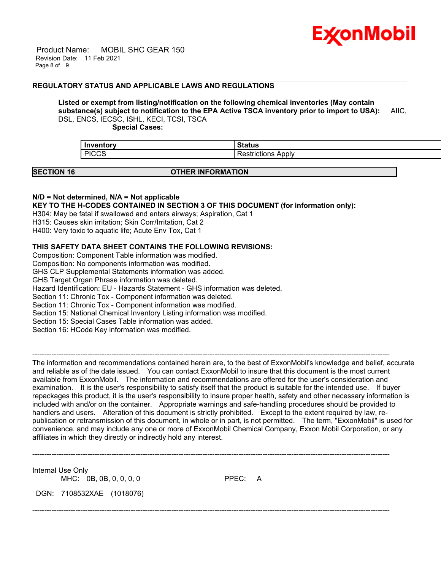

 Product Name: MOBIL SHC GEAR 150 Revision Date: 11 Feb 2021 Page 8 of 9

#### **REGULATORY STATUS AND APPLICABLE LAWS AND REGULATIONS**

## **Listed or exempt from listing/notification on the following chemical inventories (May contain substance(s) subject to notification to the EPA Active TSCA inventory prior to import to USA):** AIIC, DSL, ENCS, IECSC, ISHL, KECI, TCSI, TSCA

\_\_\_\_\_\_\_\_\_\_\_\_\_\_\_\_\_\_\_\_\_\_\_\_\_\_\_\_\_\_\_\_\_\_\_\_\_\_\_\_\_\_\_\_\_\_\_\_\_\_\_\_\_\_\_\_\_\_\_\_\_\_\_\_\_\_\_\_\_\_\_\_\_\_\_\_\_\_\_\_\_\_\_\_\_\_\_\_\_\_\_\_\_\_\_\_\_\_\_\_\_\_\_\_\_\_\_\_\_\_\_\_\_\_\_\_\_

 **Special Cases:**

| Inventory    |                     |
|--------------|---------------------|
| <b>PICCS</b> | Apply<br>itictions' |
|              |                     |

#### **SECTION 16 OTHER INFORMATION**

#### **N/D = Not determined, N/A = Not applicable**

**KEY TO THE H-CODES CONTAINED IN SECTION 3 OF THIS DOCUMENT (for information only):**

H304: May be fatal if swallowed and enters airways; Aspiration, Cat 1

H315: Causes skin irritation; Skin Corr/Irritation, Cat 2

H400: Very toxic to aquatic life; Acute Env Tox, Cat 1

### **THIS SAFETY DATA SHEET CONTAINS THE FOLLOWING REVISIONS:**

Composition: Component Table information was modified. Composition: No components information was modified. GHS CLP Supplemental Statements information was added. GHS Target Organ Phrase information was deleted. Hazard Identification: EU - Hazards Statement - GHS information was deleted. Section 11: Chronic Tox - Component information was deleted. Section 11: Chronic Tox - Component information was modified. Section 15: National Chemical Inventory Listing information was modified. Section 15: Special Cases Table information was added. Section 16: HCode Key information was modified.

----------------------------------------------------------------------------------------------------------------------------------------------------- The information and recommendations contained herein are, to the best of ExxonMobil's knowledge and belief, accurate and reliable as of the date issued. You can contact ExxonMobil to insure that this document is the most current available from ExxonMobil. The information and recommendations are offered for the user's consideration and examination. It is the user's responsibility to satisfy itself that the product is suitable for the intended use. If buyer repackages this product, it is the user's responsibility to insure proper health, safety and other necessary information is included with and/or on the container. Appropriate warnings and safe-handling procedures should be provided to handlers and users. Alteration of this document is strictly prohibited. Except to the extent required by law, republication or retransmission of this document, in whole or in part, is not permitted. The term, "ExxonMobil" is used for convenience, and may include any one or more of ExxonMobil Chemical Company, Exxon Mobil Corporation, or any affiliates in which they directly or indirectly hold any interest.

-----------------------------------------------------------------------------------------------------------------------------------------------------

-----------------------------------------------------------------------------------------------------------------------------------------------------

Internal Use Only

MHC: 0B, 0B, 0, 0, 0, 0 PPEC: A

DGN: 7108532XAE (1018076)